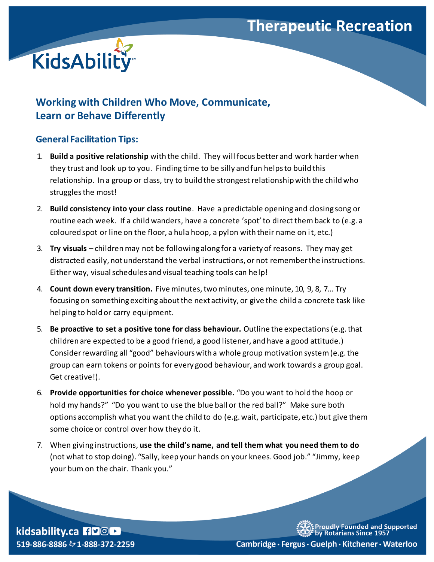## **Therapeutic Recreation**



## **Working with Children Who Move, Communicate, Learn or Behave Differently**

## **General Facilitation Tips:**

- 1. **Build a positive relationship** with the child. They will focus better and work harder when they trust and look up to you. Finding time to be silly and fun helps to build this relationship. In a group or class, try to build the strongest relationship with the child who struggles the most!
- 2. **Build consistency into your class routine**. Have a predictable opening and closing song or routine each week. If a child wanders, have a concrete 'spot' to direct themback to (e.g. a coloured spot or line on the floor, a hula hoop, a pylon with their name on it, etc.)
- 3. **Try visuals** childrenmay not be following along for a variety of reasons. They may get distracted easily, not understand the verbal instructions, or not remember the instructions. Either way, visual schedules and visual teaching tools can help!
- 4. **Count down every transition.** Five minutes, two minutes, one minute, 10, 9, 8, 7… Try focusing on something exciting about the next activity, or give the child a concrete task like helping to hold or carry equipment.
- 5. **Be proactive to set a positive tone for class behaviour.** Outline the expectations (e.g.that children are expected to be a good friend, a good listener, and have a good attitude.) Consider rewarding all "good" behaviours with a whole group motivation system (e.g. the group can earn tokens or points for every good behaviour, and work towards a group goal. Get creative!).
- 6. **Provide opportunities for choice whenever possible.** "Do you want to hold the hoop or hold my hands?" "Do you want to use the blue ball or the red ball?" Make sure both options accomplish what you want the child to do (e.g. wait, participate, etc.) but give them some choice or control over how they do it.
- 7. When giving instructions, **use the child's name, and tell them what you need them to do**  (not what to stop doing). "Sally, keep your hands on your knees. Good job." "Jimmy, keep your bum on the chair. Thank you."

kidsability.ca HDOL 519-886-8886 & 1-888-372-2259 udly Founded and Supported<br>≀otarians Since 1957

Cambridge · Fergus · Guelph · Kitchener · Waterloo